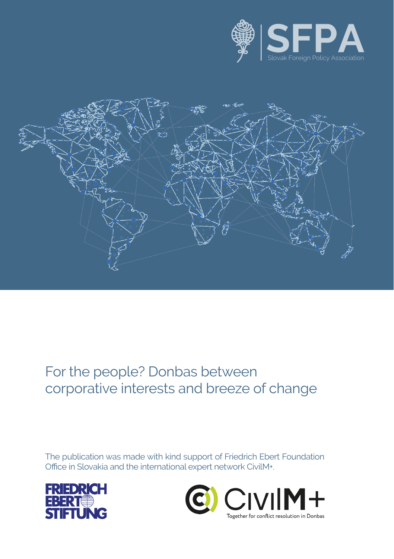



#### For the people? Donbas between corporative interests and breeze of change

The publication was made with kind support of Friedrich Ebert Foundation Office in Slovakia and the international expert network CivilM+.



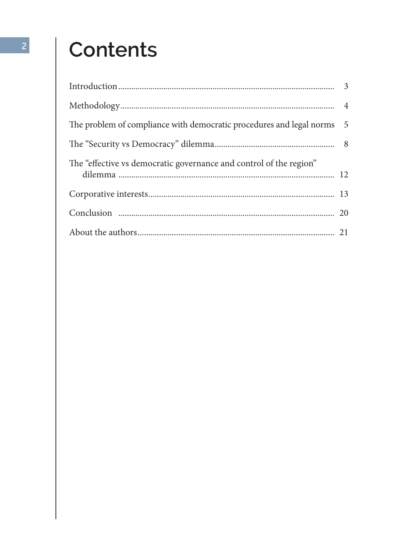## **Contents**

| The problem of compliance with democratic procedures and legal norms 5 |  |
|------------------------------------------------------------------------|--|
|                                                                        |  |
| The "effective vs democratic governance and control of the region"     |  |
|                                                                        |  |
|                                                                        |  |
|                                                                        |  |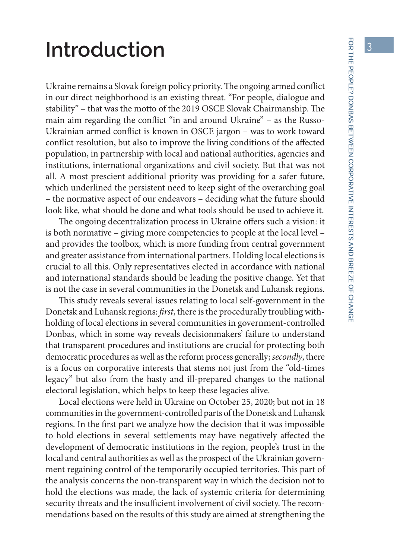### **Introduction**

Ukraine remains a Slovak foreign policy priority. The ongoing armed conflict in our direct neighborhood is an existing threat. "For people, dialogue and stability" – that was the motto of the 2019 OSCE Slovak Chairmanship. The main aim regarding the conflict "in and around Ukraine" – as the Russo-Ukrainian armed conflict is known in OSCE jargon – was to work toward conflict resolution, but also to improve the living conditions of the affected population, in partnership with local and national authorities, agencies and institutions, international organizations and civil society. But that was not all. A most prescient additional priority was providing for a safer future, which underlined the persistent need to keep sight of the overarching goal – the normative aspect of our endeavors – deciding what the future should look like, what should be done and what tools should be used to achieve it.

The ongoing decentralization process in Ukraine offers such a vision: it is both normative – giving more competencies to people at the local level – and provides the toolbox, which is more funding from central government and greater assistance from international partners. Holding local elections is crucial to all this. Only representatives elected in accordance with national and international standards should be leading the positive change. Yet that is not the case in several communities in the Donetsk and Luhansk regions.

This study reveals several issues relating to local self-government in the Donetsk and Luhansk regions: *first*, there is the procedurally troubling withholding of local elections in several communities in government-controlled Donbas, which in some way reveals decisionmakers' failure to understand that transparent procedures and institutions are crucial for protecting both democratic procedures as well as the reform process generally; *secondly*, there is a focus on corporative interests that stems not just from the "old-times legacy" but also from the hasty and ill-prepared changes to the national electoral legislation, which helps to keep these legacies alive.

Local elections were held in Ukraine on October 25, 2020; but not in 18 communities in the government-controlled parts of the Donetsk and Luhansk regions. In the first part we analyze how the decision that it was impossible to hold elections in several settlements may have negatively affected the development of democratic institutions in the region, people's trust in the local and central authorities as well as the prospect of the Ukrainian government regaining control of the temporarily occupied territories. This part of the analysis concerns the non-transparent way in which the decision not to hold the elections was made, the lack of systemic criteria for determining security threats and the insufficient involvement of civil society. The recommendations based on the results of this study are aimed at strengthening the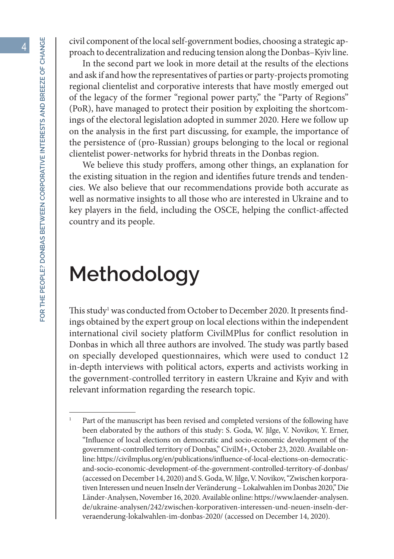civil component of the local self-government bodies, choosing a strategic approach to decentralization and reducing tension along the Donbas–Kyiv line.

In the second part we look in more detail at the results of the elections and ask if and how the representatives of parties or party-projects promoting regional clientelist and corporative interests that have mostly emerged out of the legacy of the former "regional power party," the "Party of Regions" (PoR), have managed to protect their position by exploiting the shortcomings of the electoral legislation adopted in summer 2020. Here we follow up on the analysis in the first part discussing, for example, the importance of the persistence of (pro-Russian) groups belonging to the local or regional clientelist power-networks for hybrid threats in the Donbas region.

We believe this study proffers, among other things, an explanation for the existing situation in the region and identifies future trends and tendencies. We also believe that our recommendations provide both accurate as well as normative insights to all those who are interested in Ukraine and to key players in the field, including the OSCE, helping the conflict-affected country and its people.

### **Methodology**

This study<sup>1</sup> was conducted from October to December 2020. It presents findings obtained by the expert group on local elections within the independent international civil society platform CivilMPlus for conflict resolution in Donbas in which all three authors are involved. The study was partly based on specially developed questionnaires, which were used to conduct 12 in-depth interviews with political actors, experts and activists working in the government-controlled territory in eastern Ukraine and Kyiv and with relevant information regarding the research topic.

<sup>&</sup>lt;sup>1</sup> Part of the manuscript has been revised and completed versions of the following have been elaborated by the authors of this study: S. Goda, W. Jilge, V. Novikov, Y. Erner, "Influence of local elections on democratic and socio-economic development of the government-controlled territory of Donbas," CivilM+, October 23, 2020. Available online: https://civilmplus.org/en/publications/influence-of-local-elections-on-democraticand-socio-economic-development-of-the-government-controlled-territory-of-donbas/ (accessed on December 14, 2020) and S. Goda, W. Jilge, V. Novikov, "Zwischen korporativen Interessen und neuen Inseln der Veränderung – Lokalwahlen im Donbas 2020," Die Länder-Analysen, November 16, 2020. Available online: https://www.laender-analysen. de/ukraine-analysen/242/zwischen-korporativen-interessen-und-neuen-inseln-derveraenderung-lokalwahlen-im-donbas-2020/ (accessed on December 14, 2020).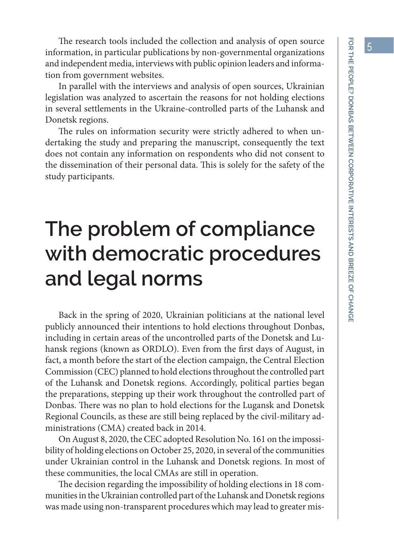The research tools included the collection and analysis of open source information, in particular publications by non-governmental organizations and independent media, interviews with public opinion leaders and information from government websites.

In parallel with the interviews and analysis of open sources, Ukrainian legislation was analyzed to ascertain the reasons for not holding elections in several settlements in the Ukraine-controlled parts of the Luhansk and Donetsk regions.

The rules on information security were strictly adhered to when undertaking the study and preparing the manuscript, consequently the text does not contain any information on respondents who did not consent to the dissemination of their personal data. This is solely for the safety of the study participants.

## **The problem of compliance with democratic procedures and legal norms**

Back in the spring of 2020, Ukrainian politicians at the national level publicly announced their intentions to hold elections throughout Donbas, including in certain areas of the uncontrolled parts of the Donetsk and Luhansk regions (known as ORDLO). Even from the first days of August, in fact, a month before the start of the election campaign, the Central Election Commission (CEC) planned to hold elections throughout the controlled part of the Luhansk and Donetsk regions. Accordingly, political parties began the preparations, stepping up their work throughout the controlled part of Donbas. There was no plan to hold elections for the Lugansk and Donetsk Regional Councils, as these are still being replaced by the civil-military administrations (CMA) created back in 2014.

On August 8, 2020, the CEC adopted Resolution No. 161 on the impossibility of holding elections on October 25, 2020, in several of the communities under Ukrainian control in the Luhansk and Donetsk regions. In most of these communities, the local CMAs are still in operation.

The decision regarding the impossibility of holding elections in 18 communities in the Ukrainian controlled part of the Luhansk and Donetsk regions was made using non-transparent procedures which may lead to greater mis-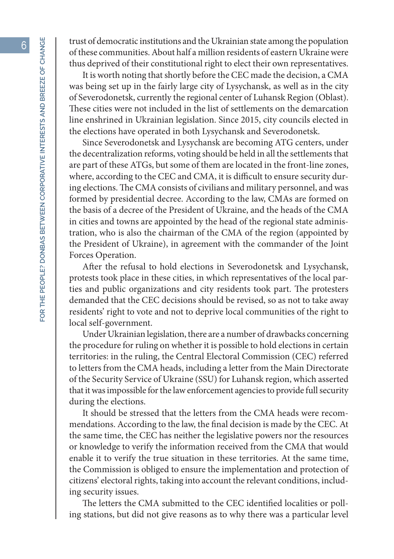trust of democratic institutions and the Ukrainian state among the population of these communities. About half a million residents of eastern Ukraine were thus deprived of their constitutional right to elect their own representatives.

It is worth noting that shortly before the CEC made the decision, a CMA was being set up in the fairly large city of Lysychansk, as well as in the city of Severodonetsk, currently the regional center of Luhansk Region (Oblast). These cities were not included in the list of settlements on the demarcation line enshrined in Ukrainian legislation. Since 2015, city councils elected in the elections have operated in both Lysychansk and Severodonetsk.

Since Severodonetsk and Lysychansk are becoming ATG centers, under the decentralization reforms, voting should be held in all the settlements that are part of these ATGs, but some of them are located in the front-line zones, where, according to the CEC and CMA, it is difficult to ensure security during elections. The CMA consists of civilians and military personnel, and was formed by presidential decree. According to the law, CMAs are formed on the basis of a decree of the President of Ukraine, and the heads of the CMA in cities and towns are appointed by the head of the regional state administration, who is also the chairman of the CMA of the region (appointed by the President of Ukraine), in agreement with the commander of the Joint Forces Operation.

After the refusal to hold elections in Severodonetsk and Lysychansk, protests took place in these cities, in which representatives of the local parties and public organizations and city residents took part. The protesters demanded that the CEC decisions should be revised, so as not to take away residents' right to vote and not to deprive local communities of the right to local self-government.

Under Ukrainian legislation, there are a number of drawbacks concerning the procedure for ruling on whether it is possible to hold elections in certain territories: in the ruling, the Central Electoral Commission (CEC) referred to letters from the CMA heads, including a letter from the Main Directorate of the Security Service of Ukraine (SSU) for Luhansk region, which asserted that it was impossible for the law enforcement agencies to provide full security during the elections.

It should be stressed that the letters from the CMA heads were recommendations. According to the law, the final decision is made by the CEC. At the same time, the CEC has neither the legislative powers nor the resources or knowledge to verify the information received from the CMA that would enable it to verify the true situation in these territories. At the same time, the Commission is obliged to ensure the implementation and protection of citizens' electoral rights, taking into account the relevant conditions, including security issues.

The letters the CMA submitted to the CEC identified localities or polling stations, but did not give reasons as to why there was a particular level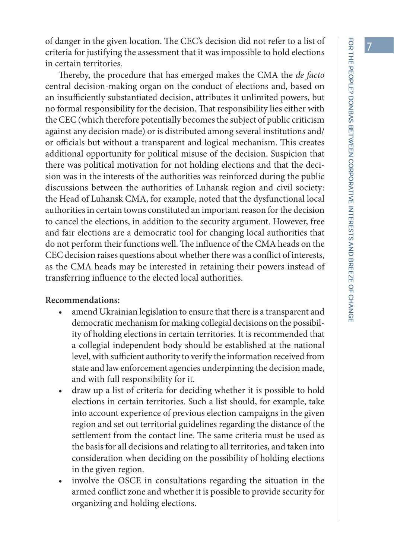of danger in the given location. The CEC's decision did not refer to a list of criteria for justifying the assessment that it was impossible to hold elections in certain territories.

Thereby, the procedure that has emerged makes the CMA the *de facto* central decision-making organ on the conduct of elections and, based on an insufficiently substantiated decision, attributes it unlimited powers, but no formal responsibility for the decision. That responsibility lies either with the CEC (which therefore potentially becomes the subject of public criticism against any decision made) or is distributed among several institutions and/ or officials but without a transparent and logical mechanism. This creates additional opportunity for political misuse of the decision. Suspicion that there was political motivation for not holding elections and that the decision was in the interests of the authorities was reinforced during the public discussions between the authorities of Luhansk region and civil society: the Head of Luhansk CMA, for example, noted that the dysfunctional local authorities in certain towns constituted an important reason for the decision to cancel the elections, in addition to the security argument. However, free and fair elections are a democratic tool for changing local authorities that do not perform their functions well. The influence of the CMA heads on the CEC decision raises questions about whether there was a conflict of interests, as the CMA heads may be interested in retaining their powers instead of transferring influence to the elected local authorities.

#### **Recommendations:**

- amend Ukrainian legislation to ensure that there is a transparent and democratic mechanism for making collegial decisions on the possibility of holding elections in certain territories. It is recommended that a collegial independent body should be established at the national level, with sufficient authority to verify the information received from state and law enforcement agencies underpinning the decision made, and with full responsibility for it.
- • draw up a list of criteria for deciding whether it is possible to hold elections in certain territories. Such a list should, for example, take into account experience of previous election campaigns in the given region and set out territorial guidelines regarding the distance of the settlement from the contact line. The same criteria must be used as the basis for all decisions and relating to all territories, and taken into consideration when deciding on the possibility of holding elections in the given region.
- involve the OSCE in consultations regarding the situation in the armed conflict zone and whether it is possible to provide security for organizing and holding elections.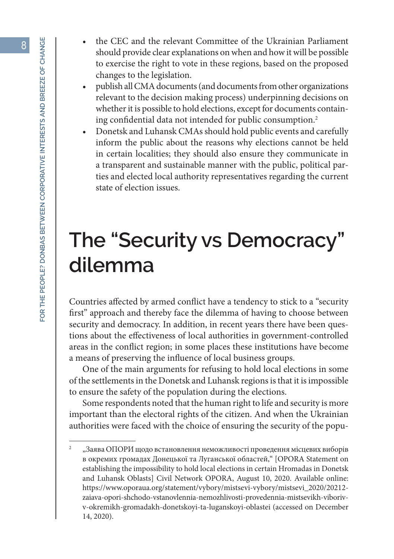- the CEC and the relevant Committee of the Ukrainian Parliament should provide clear explanations on when and how it will be possible to exercise the right to vote in these regions, based on the proposed changes to the legislation.
- publish all CMA documents (and documents from other organizations relevant to the decision making process) underpinning decisions on whether it is possible to hold elections, except for documents containing confidential data not intended for public consumption.2
- Donetsk and Luhansk CMAs should hold public events and carefully inform the public about the reasons why elections cannot be held in certain localities; they should also ensure they communicate in a transparent and sustainable manner with the public, political parties and elected local authority representatives regarding the current state of election issues.

### **The "Security vs Democracy" dilemma**

Countries affected by armed conflict have a tendency to stick to a "security first" approach and thereby face the dilemma of having to choose between security and democracy. In addition, in recent years there have been questions about the effectiveness of local authorities in government-controlled areas in the conflict region; in some places these institutions have become a means of preserving the influence of local business groups.

One of the main arguments for refusing to hold local elections in some of the settlements in the Donetsk and Luhansk regions is that it is impossible to ensure the safety of the population during the elections.

Some respondents noted that the human right to life and security is more important than the electoral rights of the citizen. And when the Ukrainian authorities were faced with the choice of ensuring the security of the popu-

<sup>2</sup> "Заява ОПОРИ щодо встановлення неможливості проведення місцевих виборів в окремих громадах Донецької та Луганської областей," [OPORA Statement on establishing the impossibility to hold local elections in certain Hromadas in Donetsk and Luhansk Oblasts] Civil Network OPORA, August 10, 2020. Available online: https://www.oporaua.org/statement/vybory/mistsevi-vybory/mistsevi\_2020/20212 zaiava-opori-shchodo-vstanovlennia-nemozhlivosti-provedennia-mistsevikh-viborivv-okremikh-gromadakh-donetskoyi-ta-luganskoyi-oblastei (accessed on December 14, 2020).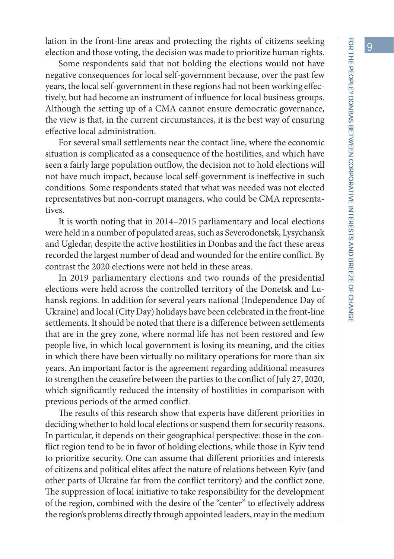lation in the front-line areas and protecting the rights of citizens seeking election and those voting, the decision was made to prioritize human rights.

Some respondents said that not holding the elections would not have negative consequences for local self-government because, over the past few years, the local self-government in these regions had not been working effectively, but had become an instrument of influence for local business groups. Although the setting up of a CMA cannot ensure democratic governance, the view is that, in the current circumstances, it is the best way of ensuring effective local administration.

For several small settlements near the contact line, where the economic situation is complicated as a consequence of the hostilities, and which have seen a fairly large population outflow, the decision not to hold elections will not have much impact, because local self-government is ineffective in such conditions. Some respondents stated that what was needed was not elected representatives but non-corrupt managers, who could be CMA representatives.

It is worth noting that in 2014–2015 parliamentary and local elections were held in a number of populated areas, such as Severodonetsk, Lysychansk and Ugledar, despite the active hostilities in Donbas and the fact these areas recorded the largest number of dead and wounded for the entire conflict. By contrast the 2020 elections were not held in these areas.

In 2019 parliamentary elections and two rounds of the presidential elections were held across the controlled territory of the Donetsk and Luhansk regions. In addition for several years national (Independence Day of Ukraine) and local (City Day) holidays have been celebrated in the front-line settlements. It should be noted that there is a difference between settlements that are in the grey zone, where normal life has not been restored and few people live, in which local government is losing its meaning, and the cities in which there have been virtually no military operations for more than six years. An important factor is the agreement regarding additional measures to strengthen the ceasefire between the parties to the conflict of July 27, 2020, which significantly reduced the intensity of hostilities in comparison with previous periods of the armed conflict.

The results of this research show that experts have different priorities in deciding whether to hold local elections or suspend them for security reasons. In particular, it depends on their geographical perspective: those in the conflict region tend to be in favor of holding elections, while those in Kyiv tend to prioritize security. One can assume that different priorities and interests of citizens and political elites affect the nature of relations between Kyiv (and other parts of Ukraine far from the conflict territory) and the conflict zone. The suppression of local initiative to take responsibility for the development of the region, combined with the desire of the "center" to effectively address the region's problems directly through appointed leaders, may in the medium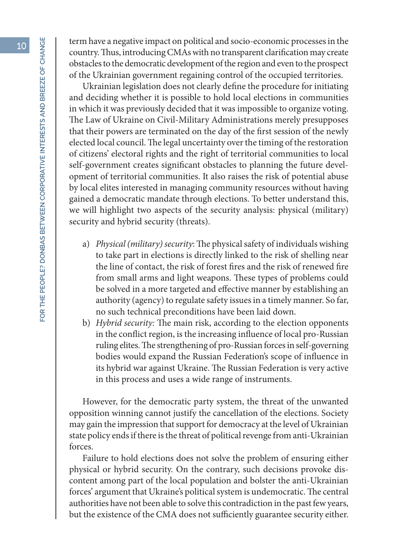term have a negative impact on political and socio-economic processes in the country. Thus, introducing CMAs with no transparent clarification may create obstacles to the democratic development of the region and even to the prospect of the Ukrainian government regaining control of the occupied territories.

Ukrainian legislation does not clearly define the procedure for initiating and deciding whether it is possible to hold local elections in communities in which it was previously decided that it was impossible to organize voting. The Law of Ukraine on Civil-Military Administrations merely presupposes that their powers are terminated on the day of the first session of the newly elected local council. The legal uncertainty over the timing of the restoration of citizens' electoral rights and the right of territorial communities to local self-government creates significant obstacles to planning the future development of territorial communities. It also raises the risk of potential abuse by local elites interested in managing community resources without having gained a democratic mandate through elections. To better understand this, we will highlight two aspects of the security analysis: physical (military) security and hybrid security (threats).

- a) *Physical (military) security*: The physical safety of individuals wishing to take part in elections is directly linked to the risk of shelling near the line of contact, the risk of forest fires and the risk of renewed fire from small arms and light weapons. These types of problems could be solved in a more targeted and effective manner by establishing an authority (agency) to regulate safety issues in a timely manner. So far, no such technical preconditions have been laid down.
- b) *Hybrid security:* The main risk, according to the election opponents in the conflict region, is the increasing influence of local pro-Russian ruling elites. The strengthening of pro-Russian forces in self-governing bodies would expand the Russian Federation's scope of influence in its hybrid war against Ukraine. The Russian Federation is very active in this process and uses a wide range of instruments.

However, for the democratic party system, the threat of the unwanted opposition winning cannot justify the cancellation of the elections. Society may gain the impression that support for democracy at the level of Ukrainian state policy ends if there is the threat of political revenge from anti-Ukrainian forces.

Failure to hold elections does not solve the problem of ensuring either physical or hybrid security. On the contrary, such decisions provoke discontent among part of the local population and bolster the anti-Ukrainian forces' argument that Ukraine's political system is undemocratic. The central authorities have not been able to solve this contradiction in the past few years, but the existence of the CMA does not sufficiently guarantee security either.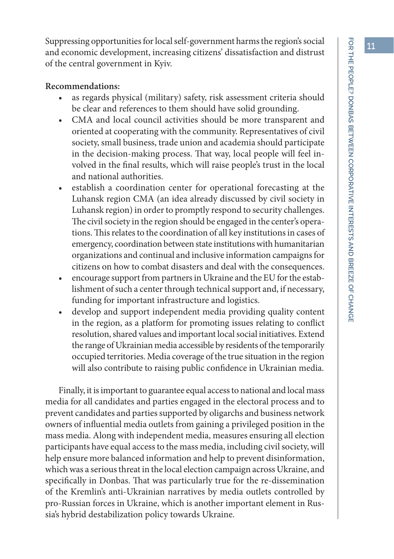Suppressing opportunities for local self-government harms the region's social and economic development, increasing citizens' dissatisfaction and distrust of the central government in Kyiv.

#### **Recommendations:**

- as regards physical (military) safety, risk assessment criteria should be clear and references to them should have solid grounding.
- • CMA and local council activities should be more transparent and oriented at cooperating with the community. Representatives of civil society, small business, trade union and academia should participate in the decision-making process. That way, local people will feel involved in the final results, which will raise people's trust in the local and national authorities.
- establish a coordination center for operational forecasting at the Luhansk region CMA (an idea already discussed by civil society in Luhansk region) in order to promptly respond to security challenges. The civil society in the region should be engaged in the center's operations. This relates to the coordination of all key institutions in cases of emergency, coordination between state institutions with humanitarian organizations and continual and inclusive information campaigns for citizens on how to combat disasters and deal with the consequences.
- encourage support from partners in Ukraine and the EU for the establishment of such a center through technical support and, if necessary, funding for important infrastructure and logistics.
- develop and support independent media providing quality content in the region, as a platform for promoting issues relating to conflict resolution, shared values and important local social initiatives. Extend the range of Ukrainian media accessible by residents of the temporarily occupied territories. Media coverage of the true situation in the region will also contribute to raising public confidence in Ukrainian media.

Finally, it is important to guarantee equal access to national and local mass media for all candidates and parties engaged in the electoral process and to prevent candidates and parties supported by oligarchs and business network owners of influential media outlets from gaining a privileged position in the mass media. Along with independent media, measures ensuring all election participants have equal access to the mass media, including civil society, will help ensure more balanced information and help to prevent disinformation, which was a serious threat in the local election campaign across Ukraine, and specifically in Donbas. That was particularly true for the re-dissemination of the Kremlin's anti-Ukrainian narratives by media outlets controlled by pro-Russian forces in Ukraine, which is another important element in Russia's hybrid destabilization policy towards Ukraine.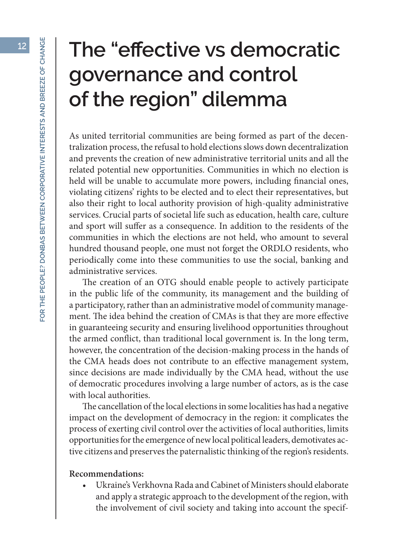### **The "effective vs democratic governance and control of the region" dilemma**

As united territorial communities are being formed as part of the decentralization process, the refusal to hold elections slows down decentralization and prevents the creation of new administrative territorial units and all the related potential new opportunities. Communities in which no election is held will be unable to accumulate more powers, including financial ones, violating citizens' rights to be elected and to elect their representatives, but also their right to local authority provision of high-quality administrative services. Crucial parts of societal life such as education, health care, culture and sport will suffer as a consequence. In addition to the residents of the communities in which the elections are not held, who amount to several hundred thousand people, one must not forget the ORDLO residents, who periodically come into these communities to use the social, banking and administrative services.

The creation of an OTG should enable people to actively participate in the public life of the community, its management and the building of a participatory, rather than an administrative model of community management. The idea behind the creation of CMAs is that they are more effective in guaranteeing security and ensuring livelihood opportunities throughout the armed conflict, than traditional local government is. In the long term, however, the concentration of the decision-making process in the hands of the CMA heads does not contribute to an effective management system, since decisions are made individually by the CMA head, without the use of democratic procedures involving a large number of actors, as is the case with local authorities.

The cancellation of the local elections in some localities has had a negative impact on the development of democracy in the region: it complicates the process of exerting civil control over the activities of local authorities, limits opportunities for the emergence of new local political leaders, demotivates active citizens and preserves the paternalistic thinking of the region's residents.

#### **Recommendations:**

Ukraine's Verkhovna Rada and Cabinet of Ministers should elaborate and apply a strategic approach to the development of the region, with the involvement of civil society and taking into account the specif-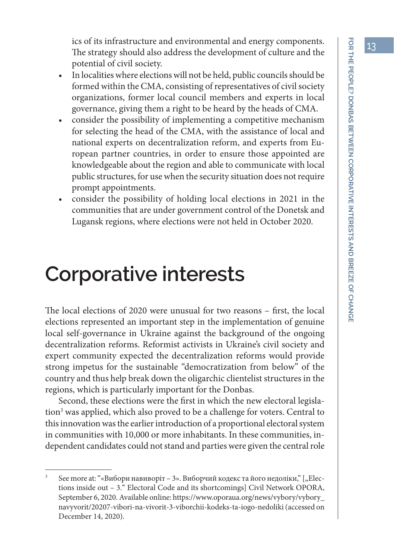ics of its infrastructure and environmental and energy components. The strategy should also address the development of culture and the potential of civil society.

- In localities where elections will not be held, public councils should be formed within the CMA, consisting of representatives of civil society organizations, former local council members and experts in local governance, giving them a right to be heard by the heads of CMA.
- consider the possibility of implementing a competitive mechanism for selecting the head of the CMA, with the assistance of local and national experts on decentralization reform, and experts from European partner countries, in order to ensure those appointed are knowledgeable about the region and able to communicate with local public structures, for use when the security situation does not require prompt appointments.
- consider the possibility of holding local elections in 2021 in the communities that are under government control of the Donetsk and Lugansk regions, where elections were not held in October 2020.

### **Corporative interests**

The local elections of 2020 were unusual for two reasons – first, the local elections represented an important step in the implementation of genuine local self-governance in Ukraine against the background of the ongoing decentralization reforms. Reformist activists in Ukraine's civil society and expert community expected the decentralization reforms would provide strong impetus for the sustainable "democratization from below" of the country and thus help break down the oligarchic clientelist structures in the regions, which is particularly important for the Donbas.

Second, these elections were the first in which the new electoral legislation<sup>3</sup> was applied, which also proved to be a challenge for voters. Central to this innovation was the earlier introduction of a proportional electoral system in communities with 10,000 or more inhabitants. In these communities, independent candidates could not stand and parties were given the central role

See more at: "«Вибори навиворіт – 3». Виборчий кодекс та його недоліки," ["Elections inside out – 3." Electoral Code and its shortcomings] Civil Network OPORA, September 6, 2020. Available online: https://www.oporaua.org/news/vybory/vybory\_ navyvorit/20207-vibori-na-vivorit-3-viborchii-kodeks-ta-iogo-nedoliki (accessed on December 14, 2020).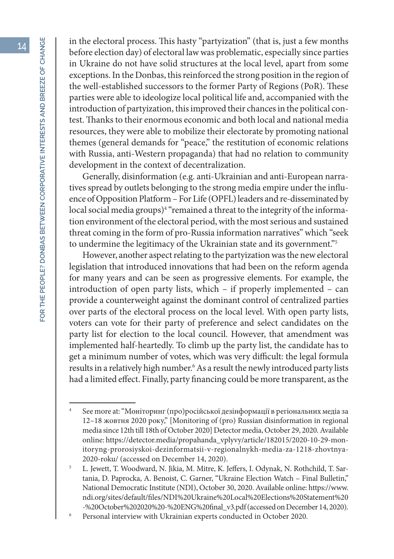in the electoral process. This hasty "partyization" (that is, just a few months before election day) of electoral law was problematic, especially since parties in Ukraine do not have solid structures at the local level, apart from some exceptions. In the Donbas, this reinforced the strong position in the region of the well-established successors to the former Party of Regions (PoR). These parties were able to ideologize local political life and, accompanied with the introduction of partyization, this improved their chances in the political contest. Thanks to their enormous economic and both local and national media resources, they were able to mobilize their electorate by promoting national themes (general demands for "peace," the restitution of economic relations with Russia, anti-Western propaganda) that had no relation to community development in the context of decentralization.

Generally, disinformation (e.g. anti-Ukrainian and anti-European narratives spread by outlets belonging to the strong media empire under the influence of Opposition Platform – For Life (OPFL) leaders and re-disseminated by local social media groups)<sup>4</sup> "remained a threat to the integrity of the information environment of the electoral period, with the most serious and sustained threat coming in the form of pro-Russia information narratives" which "seek to undermine the legitimacy of the Ukrainian state and its government."5

However, another aspect relating to the partyization was the new electoral legislation that introduced innovations that had been on the reform agenda for many years and can be seen as progressive elements. For example, the introduction of open party lists, which – if properly implemented – can provide a counterweight against the dominant control of centralized parties over parts of the electoral process on the local level. With open party lists, voters can vote for their party of preference and select candidates on the party list for election to the local council. However, that amendment was implemented half-heartedly. To climb up the party list, the candidate has to get a minimum number of votes, which was very difficult: the legal formula results in a relatively high number.<sup>6</sup> As a result the newly introduced party lists had a limited effect. Finally, party financing could be more transparent, as the

<sup>4</sup> See more at: "Моніторинг (про)російської дезінформації в регіональних медіа за 12–18 жовтня 2020 року," [Monitoring of (pro) Russian disinformation in regional media since 12th till 18th of October 2020] Detector media, October 29, 2020. Available online: https://detector.media/propahanda\_vplyvy/article/182015/2020-10-29-monitoryng-prorosiyskoi-dezinformatsii-v-regionalnykh-media-za-1218-zhovtnya-2020-roku/ (accessed on December 14, 2020).

<sup>5</sup> L. Jewett, T. Woodward, N. Jikia, M. Mitre, K. Jeffers, I. Odynak, N. Rothchild, T. Sartania, D. Paprocka, A. Benoist, C. Garner, "Ukraine Election Watch – Final Bulletin," National Democratic Institute (NDI), October 30, 2020. Available online: https://www. ndi.org/sites/default/files/NDI%20Ukraine%20Local%20Elections%20Statement%20 -%20October%202020%20-%20ENG%20final\_v3.pdf (accessed on December 14, 2020).

<sup>6</sup> Personal interview with Ukrainian experts conducted in October 2020.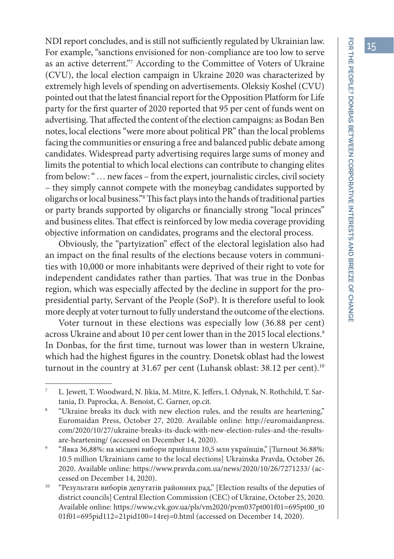15

NDI report concludes, and is still not sufficiently regulated by Ukrainian law. For example, "sanctions envisioned for non-compliance are too low to serve as an active deterrent."7 According to the Committee of Voters of Ukraine (CVU), the local election campaign in Ukraine 2020 was characterized by extremely high levels of spending on advertisements. Oleksiy Koshel (CVU) pointed out that the latest financial report for the Opposition Platform for Life party for the first quarter of 2020 reported that 95 per cent of funds went on advertising. That affected the content of the election campaigns: as Bodan Ben notes, local elections "were more about political PR" than the local problems facing the communities or ensuring a free and balanced public debate among candidates. Widespread party advertising requires large sums of money and limits the potential to which local elections can contribute to changing elites from below: " … new faces – from the expert, journalistic circles, civil society – they simply cannot compete with the moneybag candidates supported by oligarchs or local business."8 This fact plays into the hands of traditional parties or party brands supported by oligarchs or financially strong "local princes" and business elites. That effect is reinforced by low media coverage providing objective information on candidates, programs and the electoral process.

Obviously, the "partyization" effect of the electoral legislation also had an impact on the final results of the elections because voters in communities with 10,000 or more inhabitants were deprived of their right to vote for independent candidates rather than parties. That was true in the Donbas region, which was especially affected by the decline in support for the propresidential party, Servant of the People (SoP). It is therefore useful to look more deeply at voter turnout to fully understand the outcome of the elections.

Voter turnout in these elections was especially low (36.88 per cent) across Ukraine and about 10 per cent lower than in the 2015 local elections.<sup>9</sup> In Donbas, for the first time, turnout was lower than in western Ukraine, which had the highest figures in the country. Donetsk oblast had the lowest turnout in the country at 31.67 per cent (Luhansk oblast: 38.12 per cent).<sup>10</sup>

L. Jewett, T. Woodward, N. Jikia, M. Mitre, K. Jeffers, I. Odynak, N. Rothchild, T. Sartania, D. Paprocka, A. Benoist, C. Garner, op.cit.<br>"Ukraine breaks its duck with new election rules, and the results are heartening,"

Euromaidan Press, October 27, 2020. Available online: http://euromaidanpress. com/2020/10/27/ukraine-breaks-its-duck-with-new-election-rules-and-the-resultsare-heartening/ (accessed on December 14, 2020).

<sup>9</sup> "Явка 36,88%: на місцеві вибори прийшли 10,5 млн українців," [Turnout 36.88%: 10.5 million Ukrainians came to the local elections] Ukrainska Pravda, October 26, 2020. Available online: https://www.pravda.com.ua/news/2020/10/26/7271233/ (accessed on December 14, 2020).

<sup>&</sup>lt;sup>10</sup> "Результати виборів депутатів районних рад," [Election results of the deputies of district councils] Central Election Commission (CEC) of Ukraine, October 25, 2020. Available online: https://www.cvk.gov.ua/pls/vm2020/pvm037pt001f01=695pt00\_t0 01f01=695pid112=21pid100=14rej=0.html (accessed on December 14, 2020).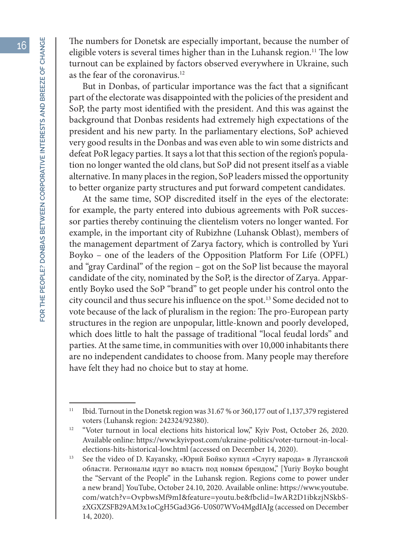The numbers for Donetsk are especially important, because the number of eligible voters is several times higher than in the Luhansk region.<sup>11</sup> The low turnout can be explained by factors observed everywhere in Ukraine, such as the fear of the coronavirus.<sup>12</sup>

But in Donbas, of particular importance was the fact that a significant part of the electorate was disappointed with the policies of the president and SoP, the party most identified with the president. And this was against the background that Donbas residents had extremely high expectations of the president and his new party. In the parliamentary elections, SoP achieved very good results in the Donbas and was even able to win some districts and defeat PoR legacy parties. It says a lot that this section of the region's population no longer wanted the old clans, but SoP did not present itself as a viable alternative. In many places in the region, SoP leaders missed the opportunity to better organize party structures and put forward competent candidates.

At the same time, SOP discredited itself in the eyes of the electorate: for example, the party entered into dubious agreements with PoR successor parties thereby continuing the clientelism voters no longer wanted. For example, in the important city of Rubizhne (Luhansk Oblast), members of the management department of Zarya factory, which is controlled by Yuri Boyko – one of the leaders of the Opposition Platform For Life (OPFL) and "gray Cardinal" of the region – got on the SoP list because the mayoral candidate of the city, nominated by the SoP, is the director of Zarya. Apparently Boyko used the SoP "brand" to get people under his control onto the city council and thus secure his influence on the spot.13 Some decided not to vote because of the lack of pluralism in the region: The pro-European party structures in the region are unpopular, little-known and poorly developed, which does little to halt the passage of traditional "local feudal lords" and parties. At the same time, in communities with over 10,000 inhabitants there are no independent candidates to choose from. Many people may therefore have felt they had no choice but to stay at home.

<sup>&</sup>lt;sup>11</sup> Ibid. Turnout in the Donetsk region was 31.67 % or 360,177 out of 1,137,379 registered voters (Luhansk region: 242324/92380).

<sup>&</sup>lt;sup>12</sup> "Voter turnout in local elections hits historical low," Kyiv Post, October 26, 2020. Available online: https://www.kyivpost.com/ukraine-politics/voter-turnout-in-localelections-hits-historical-low.html (accessed on December 14, 2020).

<sup>&</sup>lt;sup>13</sup> See the video of D. Kayansky, «Юрий Бойко купил «Слугу народа» в Луганской области. Регионалы идут во власть под новым брендом," [Yuriy Boyko bought the "Servant of the People" in the Luhansk region. Regions come to power under a new brand] YouTube, October 24.10, 2020. Available online: https://www.youtube. com/watch?v=OvpbwsMf9mI&feature=youtu.be&fbclid=IwAR2D1ibkzjNSkbSzXGXZSFB29AM3x1oCgH5Gad3G6-U0S07WVo4MgdIAJg (accessed on December 14, 2020).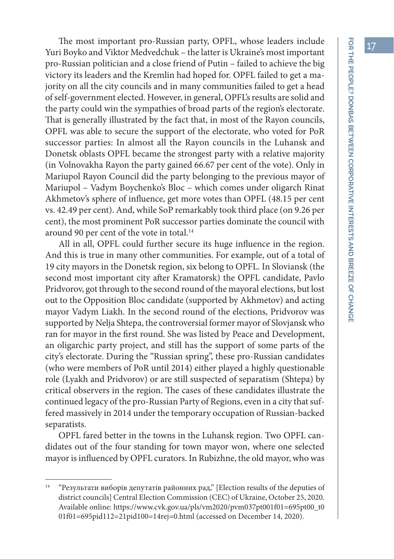The most important pro-Russian party, OPFL, whose leaders include Yuri Boyko and Viktor Medvedchuk – the latter is Ukraine's most important pro-Russian politician and a close friend of Putin – failed to achieve the big victory its leaders and the Kremlin had hoped for. OPFL failed to get a majority on all the city councils and in many communities failed to get a head of self-government elected. However, in general, OPFL's results are solid and the party could win the sympathies of broad parts of the region's electorate. That is generally illustrated by the fact that, in most of the Rayon councils, OPFL was able to secure the support of the electorate, who voted for PoR successor parties: In almost all the Rayon councils in the Luhansk and Donetsk oblasts OPFL became the strongest party with a relative majority (in Volnovakha Rayon the party gained 66.67 per cent of the vote). Only in Mariupol Rayon Council did the party belonging to the previous mayor of Mariupol – Vadym Boychenko's Bloc – which comes under oligarch Rinat Akhmetov's sphere of influence, get more votes than OPFL (48.15 per cent vs. 42.49 per cent). And, while SoP remarkably took third place (on 9.26 per cent), the most prominent PoR successor parties dominate the council with around 90 per cent of the vote in total.<sup>14</sup>

All in all, OPFL could further secure its huge influence in the region. And this is true in many other communities. For example, out of a total of 19 city mayors in the Donetsk region, six belong to OPFL. In Sloviansk (the second most important city after Kramatorsk) the OPFL candidate, Pavlo Pridvorov, got through to the second round of the mayoral elections, but lost out to the Opposition Bloc candidate (supported by Akhmetov) and acting mayor Vadym Liakh. In the second round of the elections, Pridvorov was supported by Nelja Shtepa, the controversial former mayor of Slovjansk who ran for mayor in the first round. She was listed by Peace and Development, an oligarchic party project, and still has the support of some parts of the city's electorate. During the "Russian spring", these pro-Russian candidates (who were members of PoR until 2014) either played a highly questionable role (Lyakh and Pridvorov) or are still suspected of separatism (Shtepa) by critical observers in the region. The cases of these candidates illustrate the continued legacy of the pro-Russian Party of Regions, even in a city that suffered massively in 2014 under the temporary occupation of Russian-backed separatists.

OPFL fared better in the towns in the Luhansk region. Two OPFL candidates out of the four standing for town mayor won, where one selected mayor is influenced by OPFL curators. In Rubizhne, the old mayor, who was

<sup>&</sup>lt;sup>14</sup> "Результати виборів депутатів районних рад," [Election results of the deputies of district councils] Central Election Commission (CEC) of Ukraine, October 25, 2020. Available online: https://www.cvk.gov.ua/pls/vm2020/pvm037pt001f01=695pt00\_t0 01f01=695pid112=21pid100=14rej=0.html (accessed on December 14, 2020).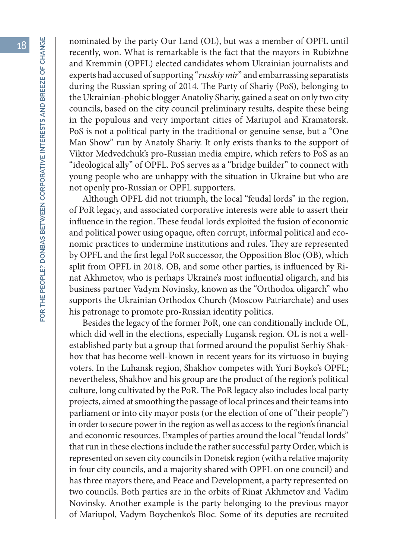nominated by the party Our Land (OL), but was a member of OPFL until recently, won. What is remarkable is the fact that the mayors in Rubizhne and Kremmin (OPFL) elected candidates whom Ukrainian journalists and experts had accused of supporting "*russkiy mir*" and embarrassing separatists during the Russian spring of 2014. The Party of Shariy (PoS), belonging to the Ukrainian-phobic blogger Anatoliy Shariy, gained a seat on only two city councils, based on the city council preliminary results, despite these being in the populous and very important cities of Mariupol and Kramatorsk. PoS is not a political party in the traditional or genuine sense, but a "One Man Show" run by Anatoly Shariy. It only exists thanks to the support of Viktor Medvedchuk's pro-Russian media empire, which refers to PoS as an "ideological ally" of OPFL. PoS serves as a "bridge builder" to connect with young people who are unhappy with the situation in Ukraine but who are not openly pro-Russian or OPFL supporters.

Although OPFL did not triumph, the local "feudal lords" in the region, of PoR legacy, and associated corporative interests were able to assert their influence in the region. These feudal lords exploited the fusion of economic and political power using opaque, often corrupt, informal political and economic practices to undermine institutions and rules. They are represented by OPFL and the first legal PoR successor, the Opposition Bloc (OB), which split from OPFL in 2018. OB, and some other parties, is influenced by Rinat Akhmetov, who is perhaps Ukraine's most influential oligarch, and his business partner Vadym Novinsky, known as the "Orthodox oligarch" who supports the Ukrainian Orthodox Church (Moscow Patriarchate) and uses his patronage to promote pro-Russian identity politics.

Besides the legacy of the former PoR, one can conditionally include OL, which did well in the elections, especially Lugansk region. OL is not a wellestablished party but a group that formed around the populist Serhiy Shakhov that has become well-known in recent years for its virtuoso in buying voters. In the Luhansk region, Shakhov competes with Yuri Boyko's OPFL; nevertheless, Shakhov and his group are the product of the region's political culture, long cultivated by the PoR. The PoR legacy also includes local party projects, aimed at smoothing the passage of local princes and their teams into parliament or into city mayor posts (or the election of one of "their people") in order to secure power in the region as well as access to the region's financial and economic resources. Examples of parties around the local "feudal lords" that run in these elections include the rather successful party Order, which is represented on seven city councils in Donetsk region (with a relative majority in four city councils, and a majority shared with OPFL on one council) and has three mayors there, and Peace and Development, a party represented on two councils. Both parties are in the orbits of Rinat Akhmetov and Vadim Novinsky. Another example is the party belonging to the previous mayor of Mariupol, Vadym Boychenko's Bloc. Some of its deputies are recruited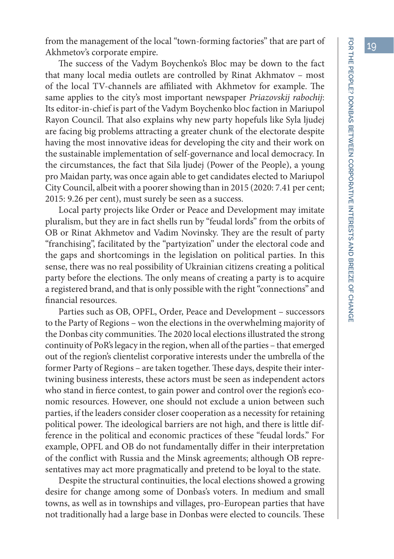from the management of the local "town-forming factories" that are part of Akhmetov's corporate empire.

The success of the Vadym Boychenko's Bloc may be down to the fact that many local media outlets are controlled by Rinat Akhmatov – most of the local TV-channels are affiliated with Akhmetov for example. The same applies to the city's most important newspaper *Priazovskij rabochij*: Its editor-in-chief is part of the Vadym Boychenko bloc faction in Mariupol Rayon Council. That also explains why new party hopefuls like Syla ljudej are facing big problems attracting a greater chunk of the electorate despite having the most innovative ideas for developing the city and their work on the sustainable implementation of self-governance and local democracy. In the circumstances, the fact that Sila ljudej (Power of the People), a young pro Maidan party, was once again able to get candidates elected to Mariupol City Council, albeit with a poorer showing than in 2015 (2020: 7.41 per cent; 2015: 9.26 per cent), must surely be seen as a success.

Local party projects like Order or Peace and Development may imitate pluralism, but they are in fact shells run by "feudal lords" from the orbits of OB or Rinat Akhmetov and Vadim Novinsky. They are the result of party "franchising", facilitated by the "partyization" under the electoral code and the gaps and shortcomings in the legislation on political parties. In this sense, there was no real possibility of Ukrainian citizens creating a political party before the elections. The only means of creating a party is to acquire a registered brand, and that is only possible with the right "connections" and financial resources.

Parties such as OB, OPFL, Order, Peace and Development – successors to the Party of Regions – won the elections in the overwhelming majority of the Donbas city communities. The 2020 local elections illustrated the strong continuity of PoR's legacy in the region, when all of the parties – that emerged out of the region's clientelist corporative interests under the umbrella of the former Party of Regions – are taken together. These days, despite their intertwining business interests, these actors must be seen as independent actors who stand in fierce contest, to gain power and control over the region's economic resources. However, one should not exclude a union between such parties, if the leaders consider closer cooperation as a necessity for retaining political power. The ideological barriers are not high, and there is little difference in the political and economic practices of these "feudal lords." For example, OPFL and OB do not fundamentally differ in their interpretation of the conflict with Russia and the Minsk agreements; although OB representatives may act more pragmatically and pretend to be loyal to the state.

Despite the structural continuities, the local elections showed a growing desire for change among some of Donbas's voters. In medium and small towns, as well as in townships and villages, pro-European parties that have not traditionally had a large base in Donbas were elected to councils. These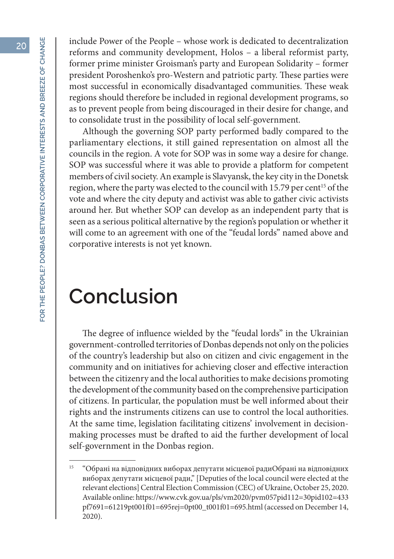include Power of the People – whose work is dedicated to decentralization reforms and community development, Holos – a liberal reformist party, former prime minister Groisman's party and European Solidarity – former president Poroshenko's pro-Western and patriotic party. These parties were most successful in economically disadvantaged communities. These weak regions should therefore be included in regional development programs, so as to prevent people from being discouraged in their desire for change, and to consolidate trust in the possibility of local self-government.

Although the governing SOP party performed badly compared to the parliamentary elections, it still gained representation on almost all the councils in the region. A vote for SOP was in some way a desire for change. SOP was successful where it was able to provide a platform for competent members of civil society. An example is Slavyansk, the key city in the Donetsk region, where the party was elected to the council with 15.79 per cent<sup>15</sup> of the vote and where the city deputy and activist was able to gather civic activists around her. But whether SOP can develop as an independent party that is seen as a serious political alternative by the region's population or whether it will come to an agreement with one of the "feudal lords" named above and corporative interests is not yet known.

#### **Conclusion**

The degree of influence wielded by the "feudal lords" in the Ukrainian government-controlled territories of Donbas depends not only on the policies of the country's leadership but also on citizen and civic engagement in the community and on initiatives for achieving closer and effective interaction between the citizenry and the local authorities to make decisions promoting the development of the community based on the comprehensive participation of citizens. In particular, the population must be well informed about their rights and the instruments citizens can use to control the local authorities. At the same time, legislation facilitating citizens' involvement in decisionmaking processes must be drafted to aid the further development of local self-government in the Donbas region.

<sup>15</sup> "Обрані на відповідних виборах депутати місцевої радиОбрані на відповідних виборах депутати місцевої ради," [Deputies of the local council were elected at the relevant elections] Central Election Commission (CEC) of Ukraine, October 25, 2020. Available online: https://www.cvk.gov.ua/pls/vm2020/pvm057pid112=30pid102=433 pf7691=61219pt001f01=695rej=0pt00\_t001f01=695.html (accessed on December 14, 2020).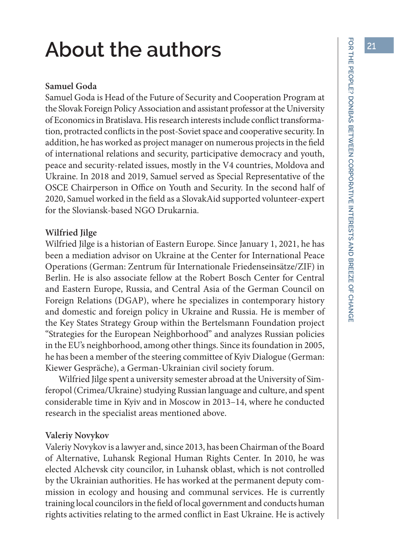# **About the authors**

#### **Samuel Goda**

Samuel Goda is Head of the Future of Security and Cooperation Program at the Slovak Foreign Policy Association and assistant professor at the University of Economics in Bratislava. His research interests include conflict transformation, protracted conflicts in the post-Soviet space and cooperative security. In addition, he has worked as project manager on numerous projects in the field of international relations and security, participative democracy and youth, peace and security-related issues, mostly in the V4 countries, Moldova and Ukraine. In 2018 and 2019, Samuel served as Special Representative of the OSCE Chairperson in Office on Youth and Security. In the second half of 2020, Samuel worked in the field as a SlovakAid supported volunteer-expert for the Sloviansk-based NGO Drukarnia.

#### **Wilfried Jilge**

Wilfried Jilge is a historian of Eastern Europe. Since January 1, 2021, he has been a mediation advisor on Ukraine at the Center for International Peace Operations (German: Zentrum für Internationale Friedenseinsätze/ZIF) in Berlin. He is also associate fellow at the Robert Bosch Center for Central and Eastern Europe, Russia, and Central Asia of the German Council on Foreign Relations (DGAP), where he specializes in contemporary history and domestic and foreign policy in Ukraine and Russia. He is member of the Key States Strategy Group within the Bertelsmann Foundation project "Strategies for the European Neighborhood" and analyzes Russian policies in the EU's neighborhood, among other things. Since its foundation in 2005, he has been a member of the steering committee of Kyiv Dialogue (German: Kiewer Gespräche), a German-Ukrainian civil society forum.

Wilfried Jilge spent a university semester abroad at the University of Simferopol (Crimea/Ukraine) studying Russian language and culture, and spent considerable time in Kyiv and in Moscow in 2013–14, where he conducted research in the specialist areas mentioned above.

#### **Valeriy Novykov**

Valeriy Novykov is a lawyer and, since 2013, has been Chairman of the Board of Alternative, Luhansk Regional Human Rights Center. In 2010, he was elected Alchevsk city councilor, in Luhansk oblast, which is not controlled by the Ukrainian authorities. He has worked at the permanent deputy commission in ecology and housing and communal services. He is currently training local councilors in the field of local government and conducts human rights activities relating to the armed conflict in East Ukraine. He is actively